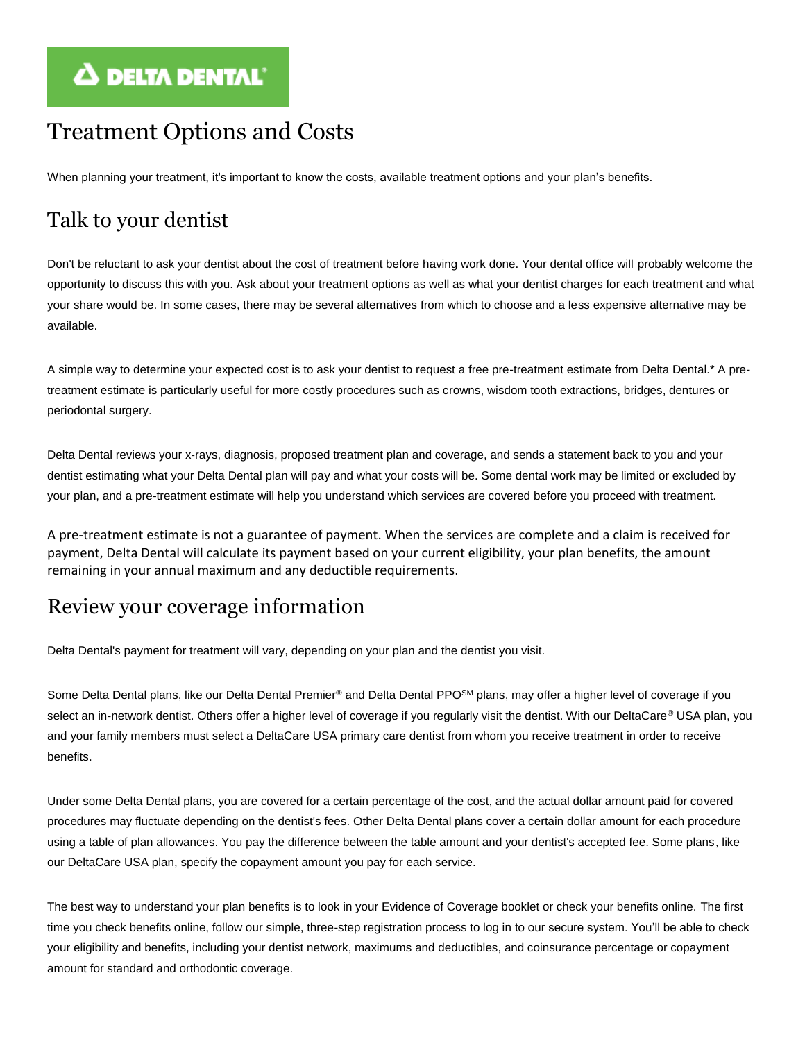# $\Delta$  DELTA DENTAL'

# Treatment Options and Costs

When planning your treatment, it's important to know the costs, available treatment options and your plan's benefits.

# Talk to your dentist

Don't be reluctant to ask your dentist about the cost of treatment before having work done. Your dental office will probably welcome the opportunity to discuss this with you. Ask about your treatment options as well as what your dentist charges for each treatment and what your share would be. In some cases, there may be several alternatives from which to choose and a less expensive alternative may be available.

A simple way to determine your expected cost is to ask your dentist to request a free pre-treatment estimate from Delta Dental.\* A pretreatment estimate is particularly useful for more costly procedures such as crowns, wisdom tooth extractions, bridges, dentures or periodontal surgery.

Delta Dental reviews your x-rays, diagnosis, proposed treatment plan and coverage, and sends a statement back to you and your dentist estimating what your Delta Dental plan will pay and what your costs will be. Some dental work may be limited or excluded by your plan, and a pre-treatment estimate will help you understand which services are covered before you proceed with treatment.

A pre-treatment estimate is not a guarantee of payment. When the services are complete and a claim is received for payment, Delta Dental will calculate its payment based on your current eligibility, your plan benefits, the amount remaining in your annual maximum and any deductible requirements.

## Review your coverage information

Delta Dental's payment for treatment will vary, depending on your plan and the dentist you visit.

Some Delta Dental plans, like our Delta Dental Premier® and Delta Dental PPO<sup>SM</sup> plans, may offer a higher level of coverage if you select an in-network dentist. Others offer a higher level of coverage if you regularly visit the dentist. With our DeltaCare® USA plan, you and your family members must select a DeltaCare USA primary care dentist from whom you receive treatment in order to receive benefits.

Under some Delta Dental plans, you are covered for a certain percentage of the cost, and the actual dollar amount paid for covered procedures may fluctuate depending on the dentist's fees. Other Delta Dental plans cover a certain dollar amount for each procedure using a table of plan allowances. You pay the difference between the table amount and your dentist's accepted fee. Some plans, like our DeltaCare USA plan, specify the copayment amount you pay for each service.

The best way to understand your plan benefits is to look in your Evidence of Coverage booklet or check your benefits online. The first time you check benefits online, follow our simple, three-step registration process to log in to our secure system. You'll be able to check your eligibility and benefits, including your dentist network, maximums and deductibles, and coinsurance percentage or copayment amount for standard and orthodontic coverage.